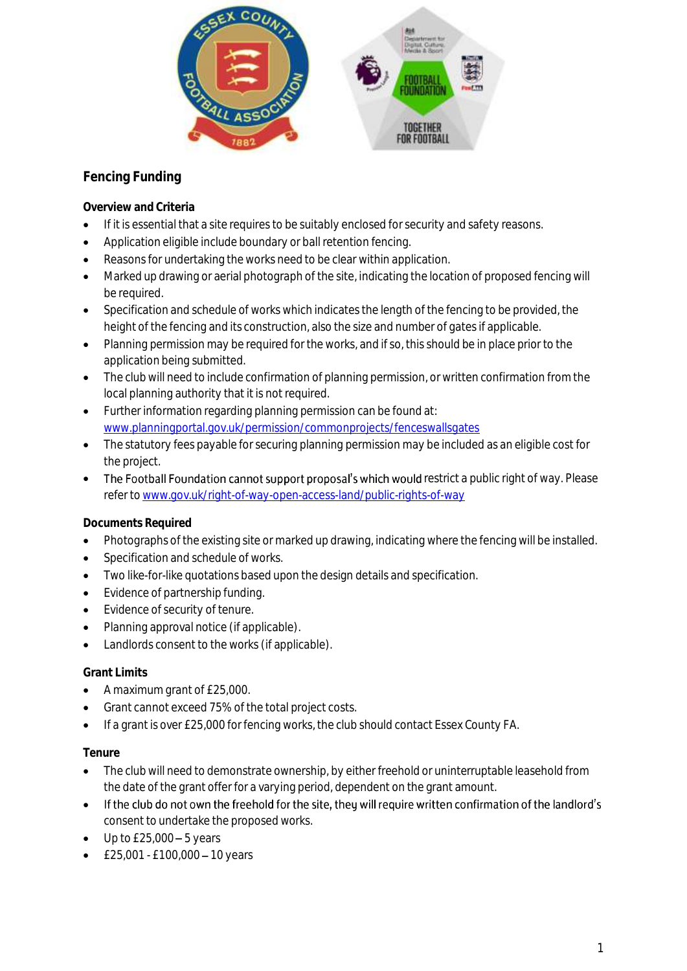

## **Fencing Funding**

**Overview and Criteria**

- If it is essential that a site requires to be suitably enclosed for security and safety reasons.
- Application eligible include boundary or ball retention fencing.
- Reasons for undertaking the works need to be clear within application.
- Marked up drawing or aerial photograph of the site, indicating the location of proposed fencing will be required.
- Specification and schedule of works which indicates the length of the fencing to be provided, the height of the fencing and its construction, also the size and number of gates if applicable.
- Planning permission may be required for the works, and if so, this should be in place prior to the application being submitted.
- The club will need to include confirmation of planning permission, or written confirmation from the local planning authority that it is not required.
- Further information regarding planning permission can be found at: [www.planningportal.gov.uk/permission/commonprojects/fenceswallsgates](http://www.planningportal.gov.uk/permission/commonprojects/fenceswallsgates)
- The statutory fees payable for securing planning permission may be included as an eligible cost for the project.
- The Football Foundation cannot support proposal's which would restrict a public right of way. Please refer t[o www.gov.uk/right-of-way-open-access-land/public-rights-of-way](http://www.gov.uk/right-of-way-open-access-land/public-rights-of-way)

## **Documents Required**

- Photographs of the existing site or marked up drawing, indicating where the fencing will be installed.
- Specification and schedule of works.
- Two like-for-like quotations based upon the design details and specification.
- Evidence of partnership funding.
- Evidence of security of tenure.
- Planning approval notice (if applicable).
- Landlords consent to the works (if applicable).

## **Grant Limits**

- A maximum grant of £25,000.
- Grant cannot exceed 75% of the total project costs.
- If a grant is over £25,000 for fencing works, the club should contact Essex County FA.

## **Tenure**

- The club will need to demonstrate ownership, by either freehold or uninterruptable leasehold from the date of the grant offer for a varying period, dependent on the grant amount.
- If the club do not own the freehold for the site, they will require written confirmation of the landlord's consent to undertake the proposed works.
- $\bullet$  Up to £25,000 5 years
- $\text{£}25,001 \text{£}100,000 10 \text{ years}$